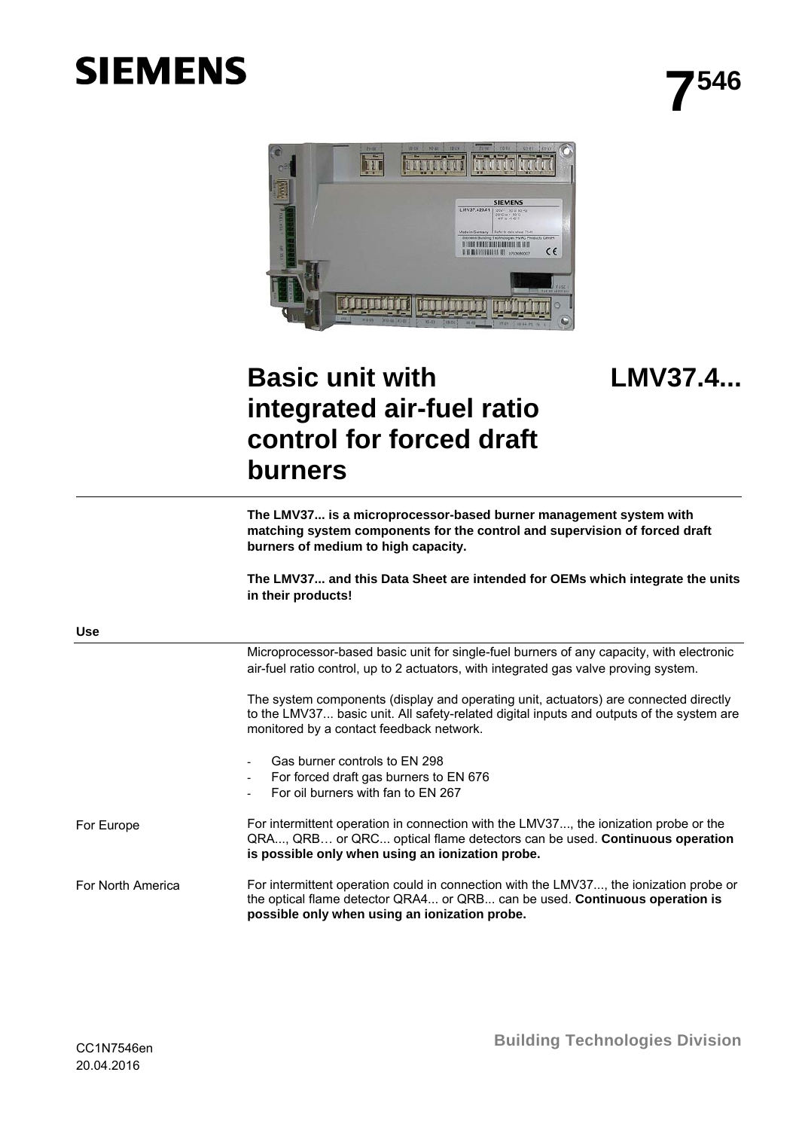# **SIEMENS**



## **LMV37.4...**

## **Basic unit with integrated air-fuel ratio control for forced draft burners**

**The LMV37... is a microprocessor-based burner management system with matching system components for the control and supervision of forced draft burners of medium to high capacity.** 

**The LMV37... and this Data Sheet are intended for OEMs which integrate the units in their products!** 

| <b>Use</b>        |                                                                                                                                                                                                                              |
|-------------------|------------------------------------------------------------------------------------------------------------------------------------------------------------------------------------------------------------------------------|
|                   | Microprocessor-based basic unit for single-fuel burners of any capacity, with electronic<br>air-fuel ratio control, up to 2 actuators, with integrated gas valve proving system.                                             |
|                   | The system components (display and operating unit, actuators) are connected directly<br>to the LMV37 basic unit. All safety-related digital inputs and outputs of the system are<br>monitored by a contact feedback network. |
|                   | Gas burner controls to EN 298<br>For forced draft gas burners to EN 676<br>For oil burners with fan to EN 267                                                                                                                |
| For Europe        | For intermittent operation in connection with the LMV37, the ionization probe or the<br>QRA, QRB or QRC optical flame detectors can be used. Continuous operation<br>is possible only when using an ionization probe.        |
| For North America | For intermittent operation could in connection with the LMV37, the ionization probe or<br>the optical flame detector QRA4 or QRB can be used. Continuous operation is<br>possible only when using an ionization probe.       |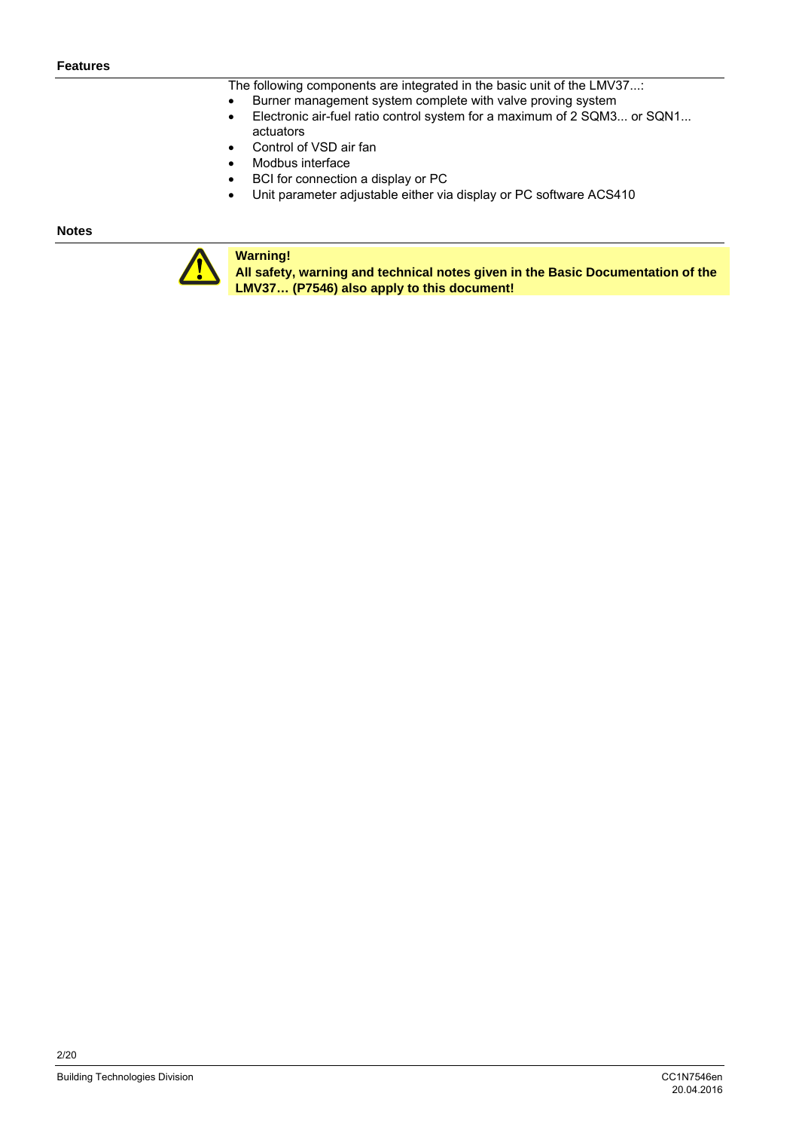The following components are integrated in the basic unit of the LMV37...:

- Burner management system complete with valve proving system
- Electronic air-fuel ratio control system for a maximum of 2 SQM3... or SQN1... actuators
- Control of VSD air fan
- Modbus interface
- BCI for connection a display or PC
- Unit parameter adjustable either via display or PC software ACS410

#### **Notes**



**Warning!** 

**All safety, warning and technical notes given in the Basic Documentation of the LMV37… (P7546) also apply to this document!**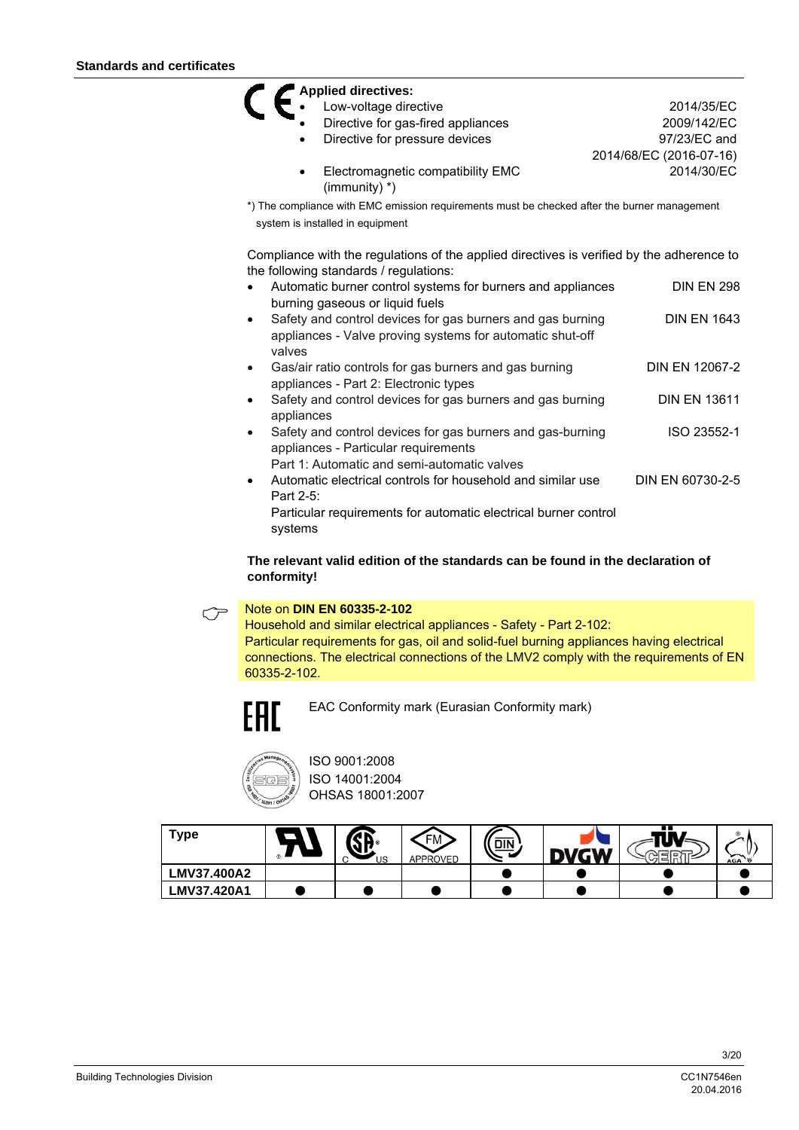|            | <b>Applied directives:</b>                                                                   |                         |
|------------|----------------------------------------------------------------------------------------------|-------------------------|
|            | Low-voltage directive                                                                        | 2014/35/EC              |
|            | Directive for gas-fired appliances                                                           | 2009/142/EC             |
|            | Directive for pressure devices                                                               | 97/23/EC and            |
|            |                                                                                              | 2014/68/EC (2016-07-16) |
|            | Electromagnetic compatibility EMC<br>(immunity) $*$ )                                        | 2014/30/EC              |
|            | *) The compliance with EMC emission requirements must be checked after the burner management |                         |
|            | system is installed in equipment                                                             |                         |
|            | Compliance with the regulations of the applied directives is verified by the adherence to    |                         |
|            | the following standards / regulations:                                                       |                         |
|            | Automatic burner control systems for burners and appliances                                  | <b>DIN EN 298</b>       |
|            | burning gaseous or liquid fuels                                                              |                         |
| $\bullet$  | Safety and control devices for gas burners and gas burning                                   | <b>DIN EN 1643</b>      |
|            | appliances - Valve proving systems for automatic shut-off                                    |                         |
| valves     |                                                                                              |                         |
| $\bullet$  | Gas/air ratio controls for gas burners and gas burning                                       | DIN EN 12067-2          |
|            | appliances - Part 2: Electronic types                                                        |                         |
| $\bullet$  | Safety and control devices for gas burners and gas burning                                   | <b>DIN EN 13611</b>     |
| appliances |                                                                                              |                         |
| $\bullet$  |                                                                                              |                         |
|            | Safety and control devices for gas burners and gas-burning                                   | ISO 23552-1             |
|            | appliances - Particular requirements                                                         |                         |
|            | Part 1: Automatic and semi-automatic valves                                                  |                         |
| $\bullet$  | Automatic electrical controls for household and similar use                                  | DIN EN 60730-2-5        |
| Part 2-5:  |                                                                                              |                         |
|            | Particular requirements for automatic electrical burner control                              |                         |

#### **The relevant valid edition of the standards can be found in the declaration of conformity!**

### Note on **DIN EN 60335-2-102**

Household and similar electrical appliances - Safety - Part 2-102: Particular requirements for gas, oil and solid-fuel burning appliances having electrical connections. The electrical connections of the LMV2 comply with the requirements of EN 60335-2-102.



EAC Conformity mark (Eurasian Conformity mark)



ISO 9001:2008 ISO 14001:2004 OHSAS 18001:2007

| Туре        | US | ΓFΜ.<br>APPROVED | <b>DIN</b> | -11 | <b>AGA</b> |
|-------------|----|------------------|------------|-----|------------|
| LMV37.400A2 |    |                  |            |     |            |
| LMV37.420A1 |    |                  |            |     |            |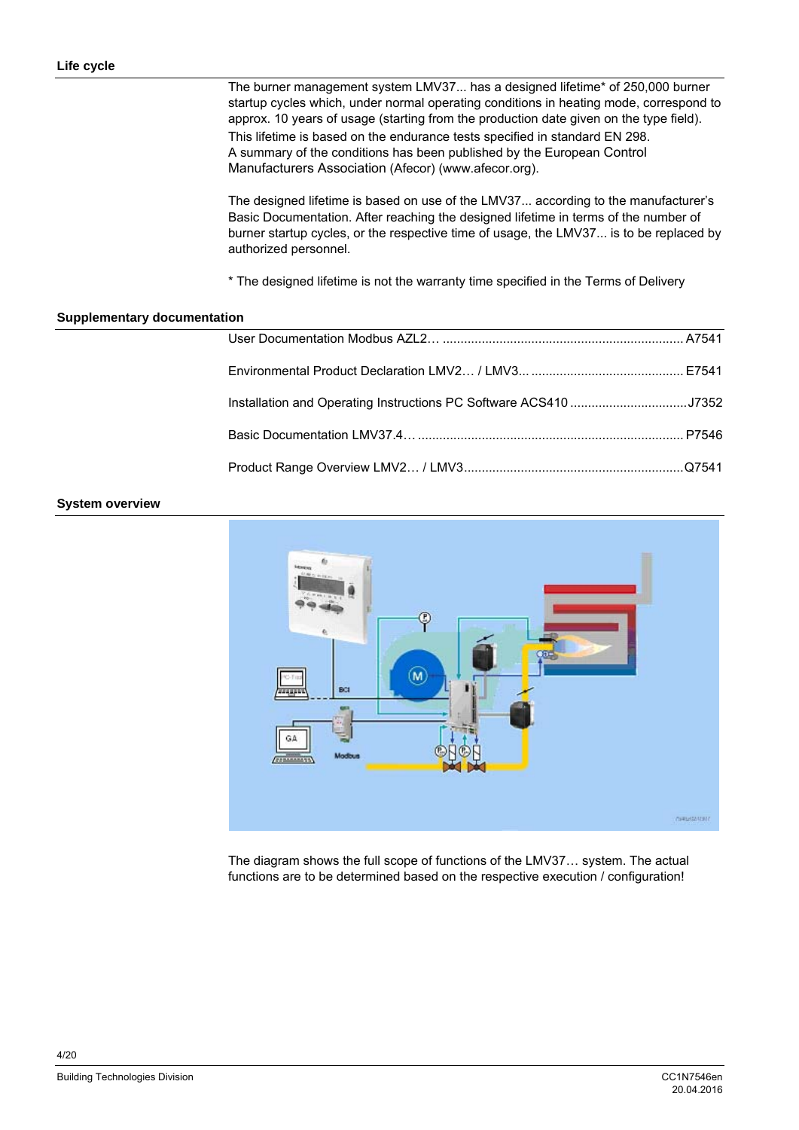The burner management system LMV37... has a designed lifetime\* of 250,000 burner startup cycles which, under normal operating conditions in heating mode, correspond to approx. 10 years of usage (starting from the production date given on the type field). This lifetime is based on the endurance tests specified in standard EN 298. A summary of the conditions has been published by the European Control Manufacturers Association (Afecor) (www.afecor.org).

The designed lifetime is based on use of the LMV37... according to the manufacturer's Basic Documentation. After reaching the designed lifetime in terms of the number of burner startup cycles, or the respective time of usage, the LMV37... is to be replaced by authorized personnel.

\* The designed lifetime is not the warranty time specified in the Terms of Delivery

#### **Supplementary documentation**

| Installation and Operating Instructions PC Software ACS410 J7352 |  |
|------------------------------------------------------------------|--|
|                                                                  |  |
|                                                                  |  |

#### **System overview**



The diagram shows the full scope of functions of the LMV37… system. The actual functions are to be determined based on the respective execution / configuration!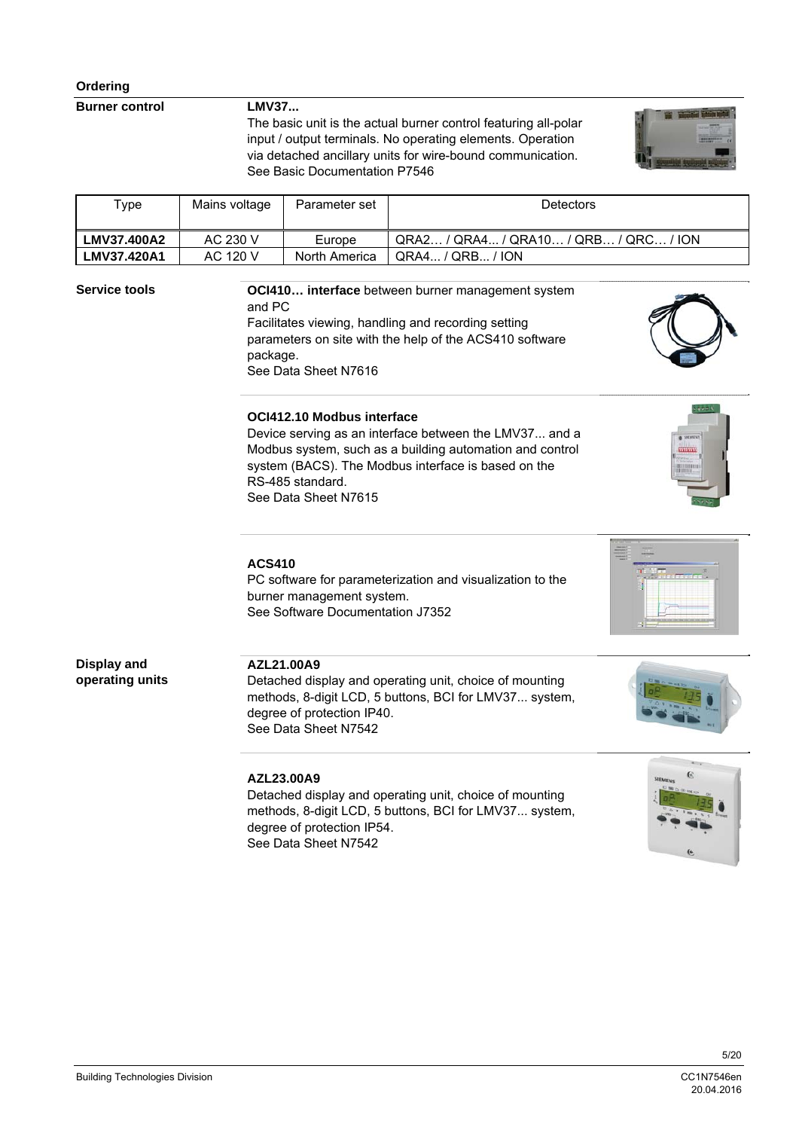**Burner control** 

**LMV37...** 

The basic unit is the actual burner control featuring all-polar input / output terminals. No operating elements. Operation via detached ancillary units for wire-bound communication. See Basic Documentation P7546



| туре               | Mains voltage | Parameter set | <b>Detectors</b>                      |
|--------------------|---------------|---------------|---------------------------------------|
| <b>LMV37.400A2</b> | AC 230 V      | Europe        | QRA2 / QRA4 / QRA10 / QRB / QRC / ION |
| LMV37.420A1        | AC 120 V      | North America | QRA4 / QRB / ION                      |

#### **Service tools**

**OCI410… interface** between burner management system and PC Facilitates viewing, handling and recording setting parameters on site with the help of the ACS410 software package. See Data Sheet N7616



Device serving as an interface between the LMV37... and a Modbus system, such as a building automation and control system (BACS). The Modbus interface is based on the RS-485 standard. See Data Sheet N7615

#### **ACS410**

PC software for parameterization and visualization to the burner management system. See Software Documentation J7352



**Display and operating units**

#### **AZL21.00A9**

Detached display and operating unit, choice of mounting methods, 8-digit LCD, 5 buttons, BCI for LMV37... system, degree of protection IP40. See Data Sheet N7542

#### **AZL23.00A9**

Detached display and operating unit, choice of mounting methods, 8-digit LCD, 5 buttons, BCI for LMV37... system, degree of protection IP54. See Data Sheet N7542

20.04.2016



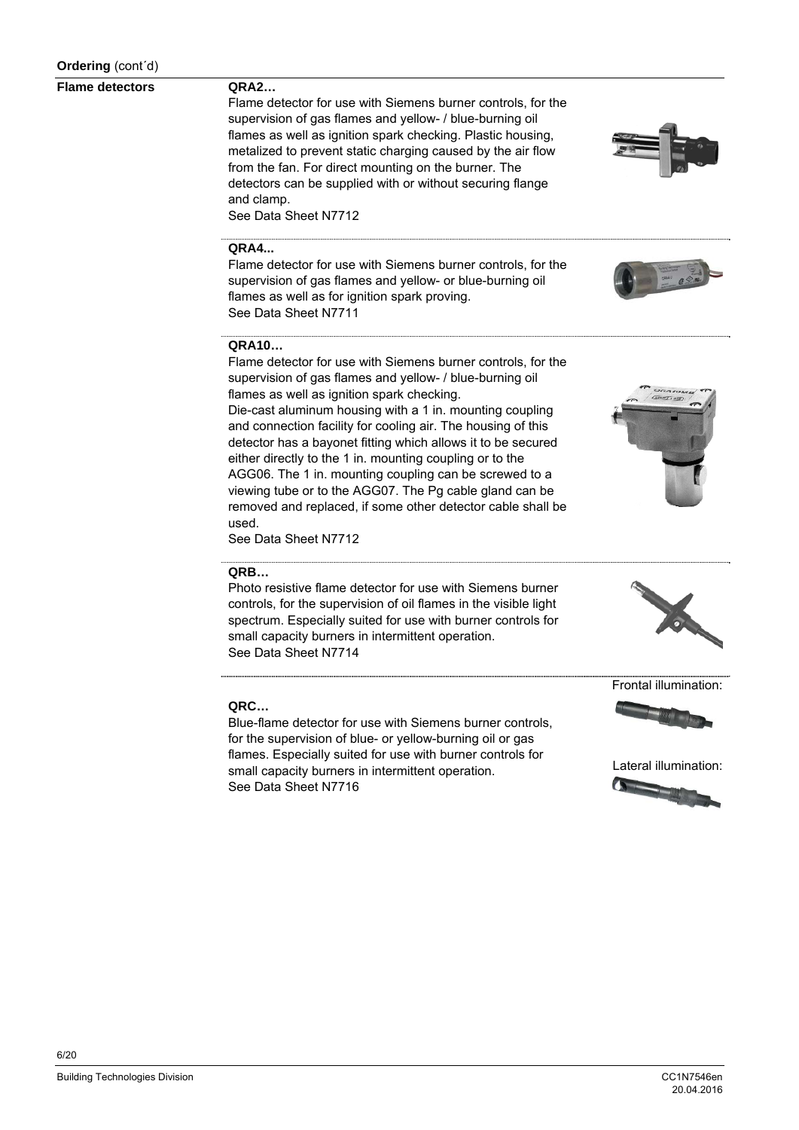#### **Flame detectors**

#### **QRA2…**

**QRA4...** 

**QRA10…** 

Flame detector for use with Siemens burner controls, for the supervision of gas flames and yellow- / blue-burning oil flames as well as ignition spark checking. Plastic housing, metalized to prevent static charging caused by the air flow from the fan. For direct mounting on the burner. The detectors can be supplied with or without securing flange and clamp. See Data Sheet N7712

Flame detector for use with Siemens burner controls, for the supervision of gas flames and yellow- or blue-burning oil

Flame detector for use with Siemens burner controls, for the supervision of gas flames and yellow- / blue-burning oil

Die-cast aluminum housing with a 1 in. mounting coupling

flames as well as for ignition spark proving.

flames as well as ignition spark checking.







and connection facility for cooling air. The housing of this detector has a bayonet fitting which allows it to be secured either directly to the 1 in. mounting coupling or to the AGG06. The 1 in. mounting coupling can be screwed to a viewing tube or to the AGG07. The Pg cable gland can be removed and replaced, if some other detector cable shall be

See Data Sheet N7712

See Data Sheet N7711

#### **QRB…**

used.

Photo resistive flame detector for use with Siemens burner controls, for the supervision of oil flames in the visible light spectrum. Especially suited for use with burner controls for small capacity burners in intermittent operation. See Data Sheet N7714



Frontal illumination:

#### **QRC…**

Blue-flame detector for use with Siemens burner controls, for the supervision of blue- or yellow-burning oil or gas flames. Especially suited for use with burner controls for small capacity burners in intermittent operation. See Data Sheet N7716

Lateral illumination:

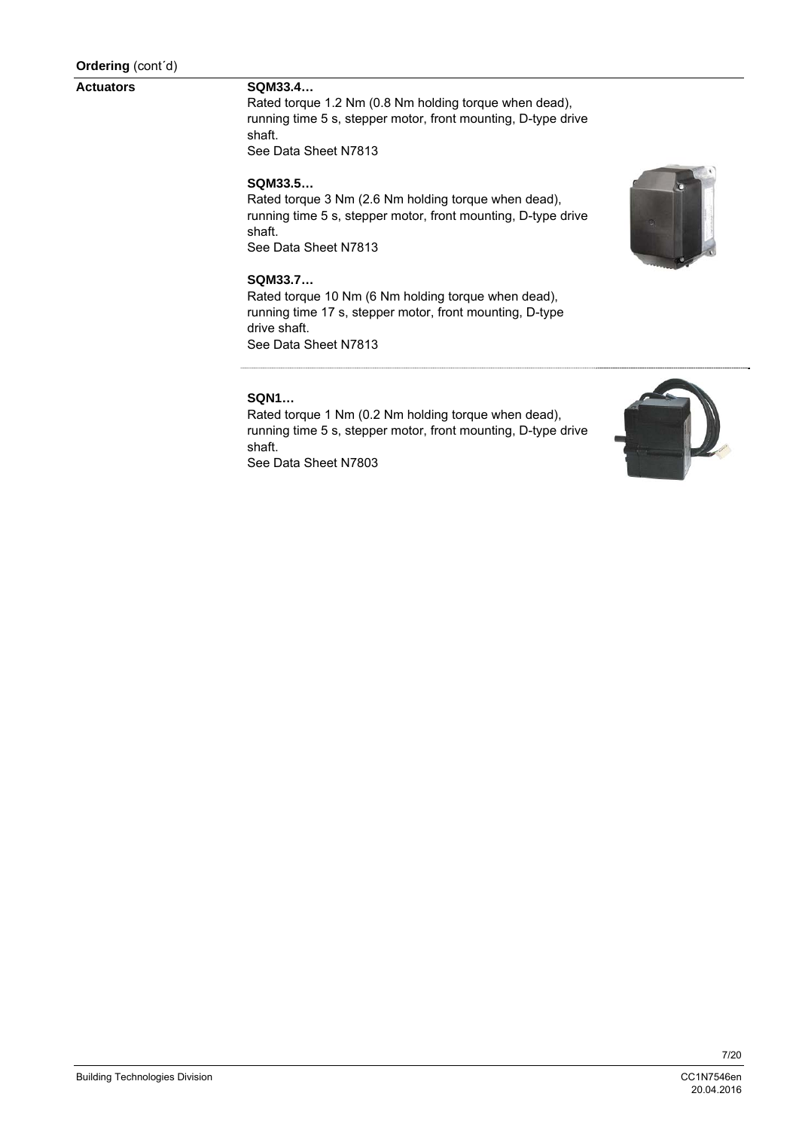#### **Actuators**

#### **SQM33.4…**

Rated torque 1.2 Nm (0.8 Nm holding torque when dead), running time 5 s, stepper motor, front mounting, D-type drive shaft. See Data Sheet N7813

#### **SQM33.5…**

Rated torque 3 Nm (2.6 Nm holding torque when dead), running time 5 s, stepper motor, front mounting, D-type drive shaft. See Data Sheet N7813

#### **SQM33.7…**

Rated torque 10 Nm (6 Nm holding torque when dead), running time 17 s, stepper motor, front mounting, D-type drive shaft. See Data Sheet N7813

#### **SQN1…**

Rated torque 1 Nm (0.2 Nm holding torque when dead), running time 5 s, stepper motor, front mounting, D-type drive shaft. See Data Sheet N7803

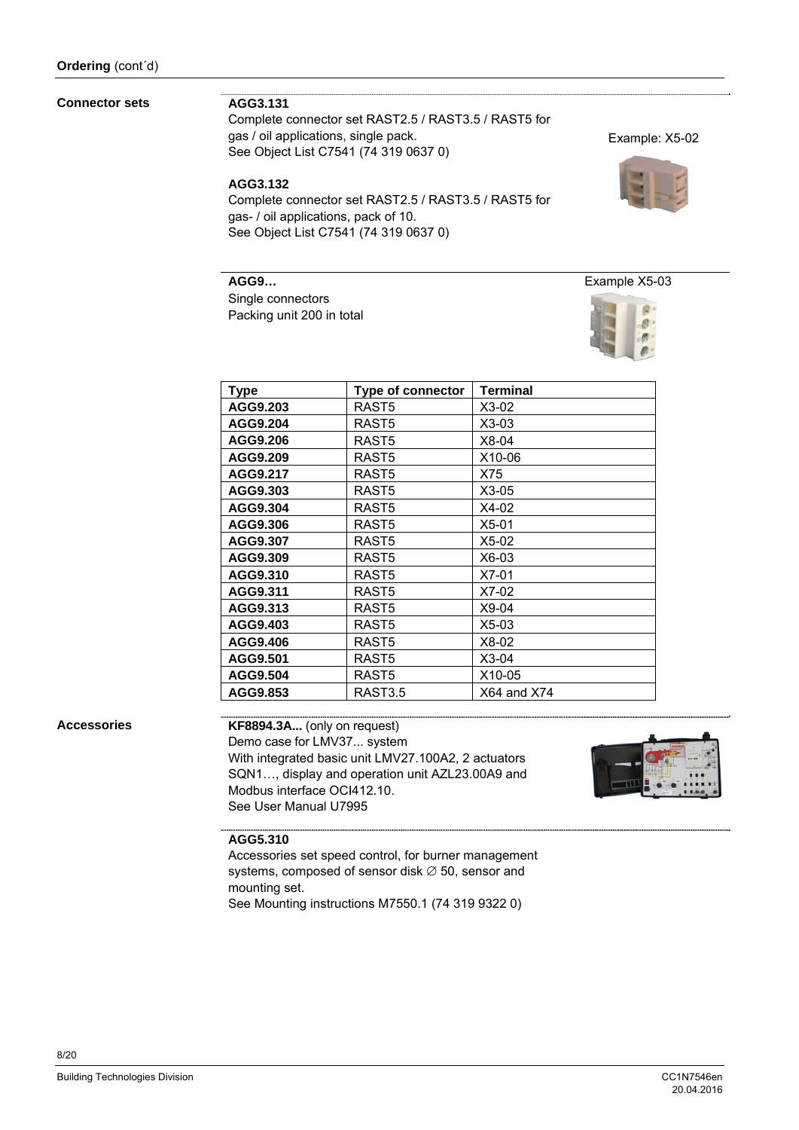#### **Connector sets**

#### **AGG3.131**

Complete connector set RAST2.5 / RAST3.5 / RAST5 for gas / oil applications, single pack. See Object List C7541 (74 319 0637 0)

#### **AGG3.132**

Complete connector set RAST2.5 / RAST3.5 / RAST5 for gas- / oil applications, pack of 10. See Object List C7541 (74 319 0637 0)

#### **AGG9…**

Single connectors Packing unit 200 in total



| Type     | <b>Type of connector</b> | <b>Terminal</b> |
|----------|--------------------------|-----------------|
| AGG9.203 | RAST <sub>5</sub>        | $X3-02$         |
| AGG9.204 | RAST <sub>5</sub>        | $X3-03$         |
| AGG9.206 | RAST <sub>5</sub>        | $X8-04$         |
| AGG9.209 | RAST <sub>5</sub>        | X10-06          |
| AGG9.217 | RAST <sub>5</sub>        | X75             |
| AGG9.303 | RAST <sub>5</sub>        | $X3-05$         |
| AGG9.304 | RAST <sub>5</sub>        | $X4-02$         |
| AGG9.306 | RAST <sub>5</sub>        | $X5-01$         |
| AGG9.307 | RAST <sub>5</sub>        | $X5-02$         |
| AGG9.309 | RAST <sub>5</sub>        | X6-03           |
| AGG9.310 | RAST <sub>5</sub>        | $X7-01$         |
| AGG9.311 | RAST <sub>5</sub>        | $X7-02$         |
| AGG9.313 | RAST <sub>5</sub>        | $X9-04$         |
| AGG9.403 | RAST <sub>5</sub>        | $X5-03$         |
| AGG9.406 | RAST <sub>5</sub>        | X8-02           |
| AGG9.501 | RAST <sub>5</sub>        | $X3-04$         |
| AGG9.504 | RAST <sub>5</sub>        | X10-05          |
| AGG9.853 | RAST3.5                  | $X64$ and $X74$ |

#### **Accessories**

**KF8894.3A...** (only on request) Demo case for LMV37... system With integrated basic unit LMV27.100A2, 2 actuators SQN1…, display and operation unit AZL23.00A9 and Modbus interface OCI412.10. See User Manual U7995



#### **AGG5.310**

Accessories set speed control, for burner management systems, composed of sensor disk  $\varnothing$  50, sensor and mounting set. See Mounting instructions M7550.1 (74 319 9322 0)

Example: X5-02

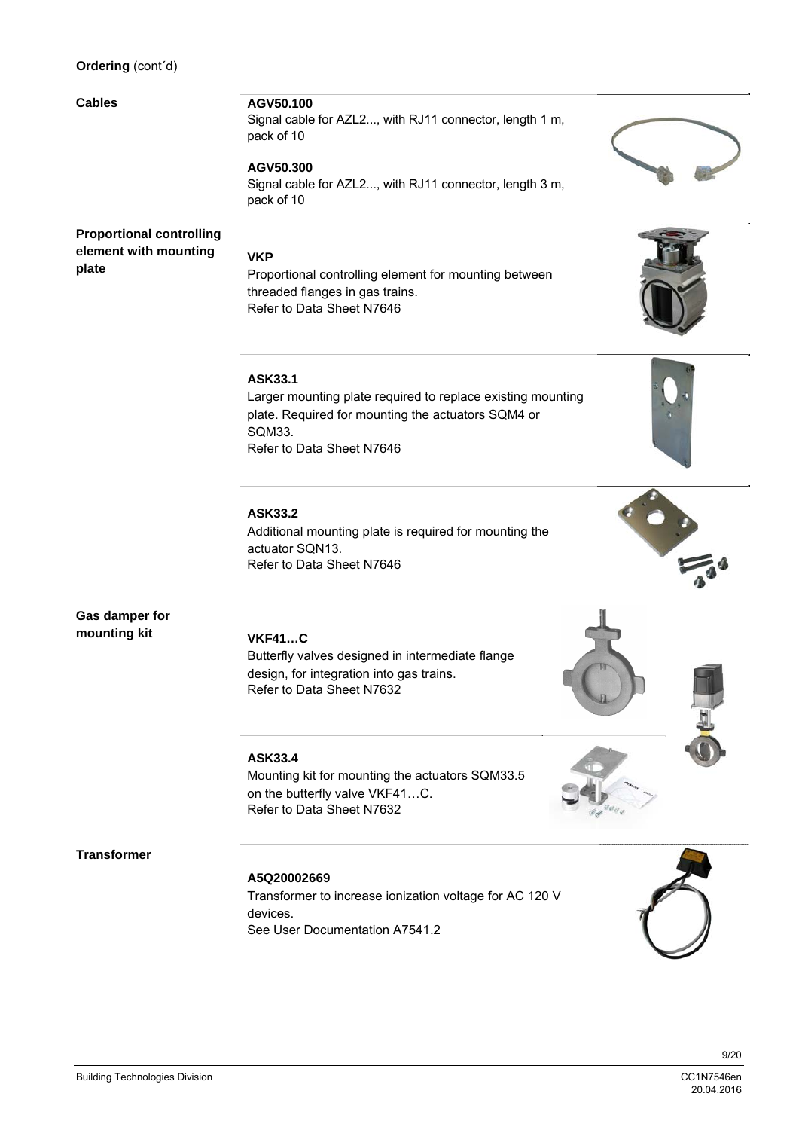#### **Cables**

#### **AGV50.100**

Signal cable for AZL2..., with RJ11 connector, length 1 m, pack of 10

#### **AGV50.300**

Signal cable for AZL2..., with RJ11 connector, length 3 m, pack of 10

#### **Proportional controlling element with mounting plate**

#### **VKP**

Proportional controlling element for mounting between threaded flanges in gas trains. Refer to Data Sheet N7646

#### **ASK33.1**

Larger mounting plate required to replace existing mounting plate. Required for mounting the actuators SQM4 or SQM33. Refer to Data Sheet N7646

#### **ASK33.2**

Additional mounting plate is required for mounting the actuator SQN13. Refer to Data Sheet N7646

#### **Gas damper for mounting kit**

**VKF41…C** 

Butterfly valves designed in intermediate flange design, for integration into gas trains. Refer to Data Sheet N7632

#### **ASK33.4**

Mounting kit for mounting the actuators SQM33.5 on the butterfly valve VKF41…C. Refer to Data Sheet N7632

#### **Transformer**

#### **A5Q20002669**

Transformer to increase ionization voltage for AC 120 V devices. See User Documentation A7541.2









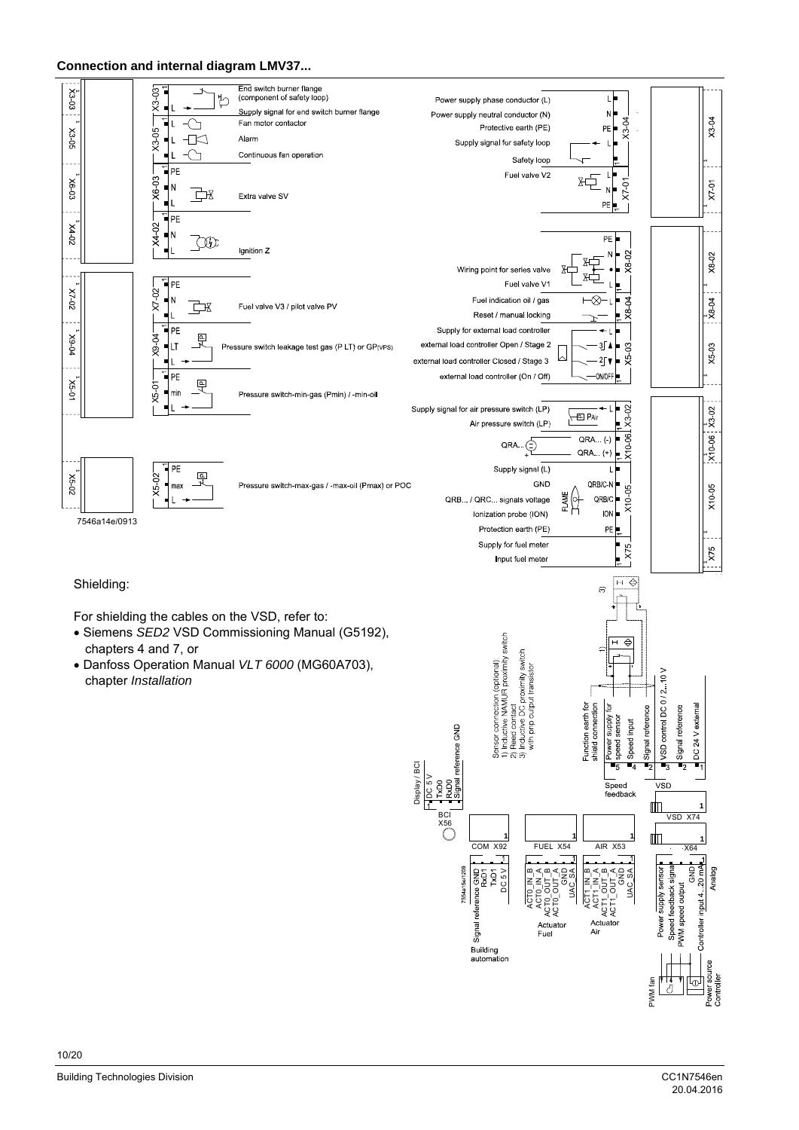#### **Connection and internal diagram LMV37...**



Power sou<br>Controller ᡌ

PWM fan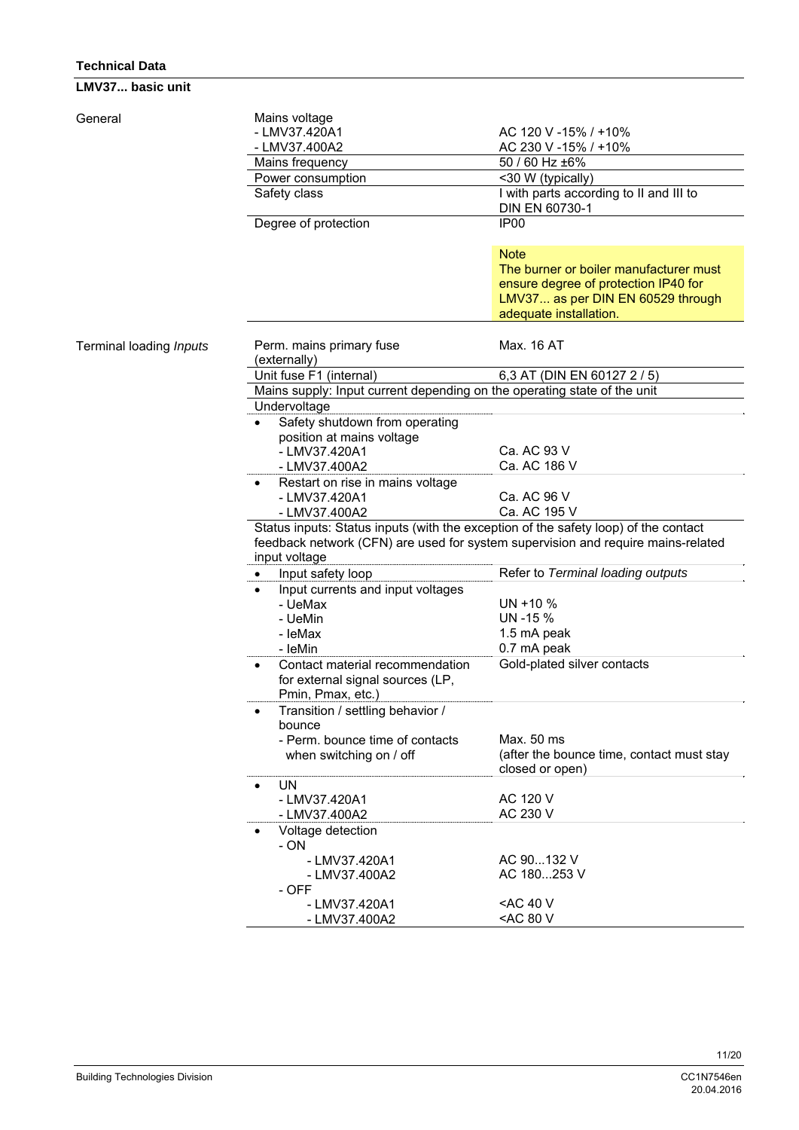#### **Technical Data**

**LMV37... basic unit** 

| General                 | Mains voltage<br>- LMV37.420A1<br>- LMV37.400A2                                                                                                                                          | AC 120 V -15% / +10%<br>AC 230 V -15% / +10%                                                                                                                 |  |  |  |
|-------------------------|------------------------------------------------------------------------------------------------------------------------------------------------------------------------------------------|--------------------------------------------------------------------------------------------------------------------------------------------------------------|--|--|--|
|                         | Mains frequency                                                                                                                                                                          | 50 / 60 Hz ±6%                                                                                                                                               |  |  |  |
|                         | Power consumption                                                                                                                                                                        | <30 W (typically)                                                                                                                                            |  |  |  |
|                         | Safety class                                                                                                                                                                             | I with parts according to II and III to<br>DIN EN 60730-1                                                                                                    |  |  |  |
|                         | Degree of protection                                                                                                                                                                     | IP <sub>00</sub>                                                                                                                                             |  |  |  |
|                         |                                                                                                                                                                                          | <b>Note</b><br>The burner or boiler manufacturer must<br>ensure degree of protection IP40 for<br>LMV37 as per DIN EN 60529 through<br>adequate installation. |  |  |  |
| Terminal loading Inputs | Perm. mains primary fuse<br>(externally)                                                                                                                                                 | Max. 16 AT                                                                                                                                                   |  |  |  |
|                         | Unit fuse F1 (internal)                                                                                                                                                                  | 6,3 AT (DIN EN 60127 2 / 5)                                                                                                                                  |  |  |  |
|                         | Mains supply: Input current depending on the operating state of the unit                                                                                                                 |                                                                                                                                                              |  |  |  |
|                         | Undervoltage                                                                                                                                                                             |                                                                                                                                                              |  |  |  |
|                         | Safety shutdown from operating<br>position at mains voltage<br>- LMV37.420A1<br>- LMV37.400A2                                                                                            | Ca. AC 93 V<br>Ca. AC 186 V                                                                                                                                  |  |  |  |
|                         | Restart on rise in mains voltage                                                                                                                                                         |                                                                                                                                                              |  |  |  |
|                         | - LMV37.420A1                                                                                                                                                                            | Ca. AC 96 V                                                                                                                                                  |  |  |  |
|                         | - LMV37.400A2                                                                                                                                                                            | Ca. AC 195 V                                                                                                                                                 |  |  |  |
|                         | Status inputs: Status inputs (with the exception of the safety loop) of the contact<br>feedback network (CFN) are used for system supervision and require mains-related<br>input voltage |                                                                                                                                                              |  |  |  |
|                         | Input safety loop                                                                                                                                                                        | Refer to Terminal loading outputs                                                                                                                            |  |  |  |
|                         | Input currents and input voltages<br>- UeMax<br>- UeMin<br>- IeMax<br>- IeMin                                                                                                            | $UN + 10 %$<br>UN -15 %<br>1.5 mA peak<br>0.7 mA peak                                                                                                        |  |  |  |
|                         | Contact material recommendation<br>for external signal sources (LP,<br>Pmin, Pmax, etc.)                                                                                                 | Gold-plated silver contacts                                                                                                                                  |  |  |  |
|                         | Transition / settling behavior /<br>bounce<br>- Perm. bounce time of contacts                                                                                                            | Max. 50 ms                                                                                                                                                   |  |  |  |
|                         | when switching on / off                                                                                                                                                                  | (after the bounce time, contact must stay<br>closed or open)                                                                                                 |  |  |  |
|                         | <b>UN</b><br>$\bullet$<br>- LMV37.420A1<br>- LMV37.400A2                                                                                                                                 | AC 120 V<br>AC 230 V                                                                                                                                         |  |  |  |
|                         | Voltage detection<br>- ON                                                                                                                                                                |                                                                                                                                                              |  |  |  |
|                         | - LMV37.420A1<br>- LMV37.400A2<br>- OFF                                                                                                                                                  | AC 90132 V<br>AC 180253 V                                                                                                                                    |  |  |  |
|                         | - LMV37.420A1<br>- LMV37.400A2                                                                                                                                                           | <ac 40="" v<br=""><ac 80="" td="" v<=""></ac></ac>                                                                                                           |  |  |  |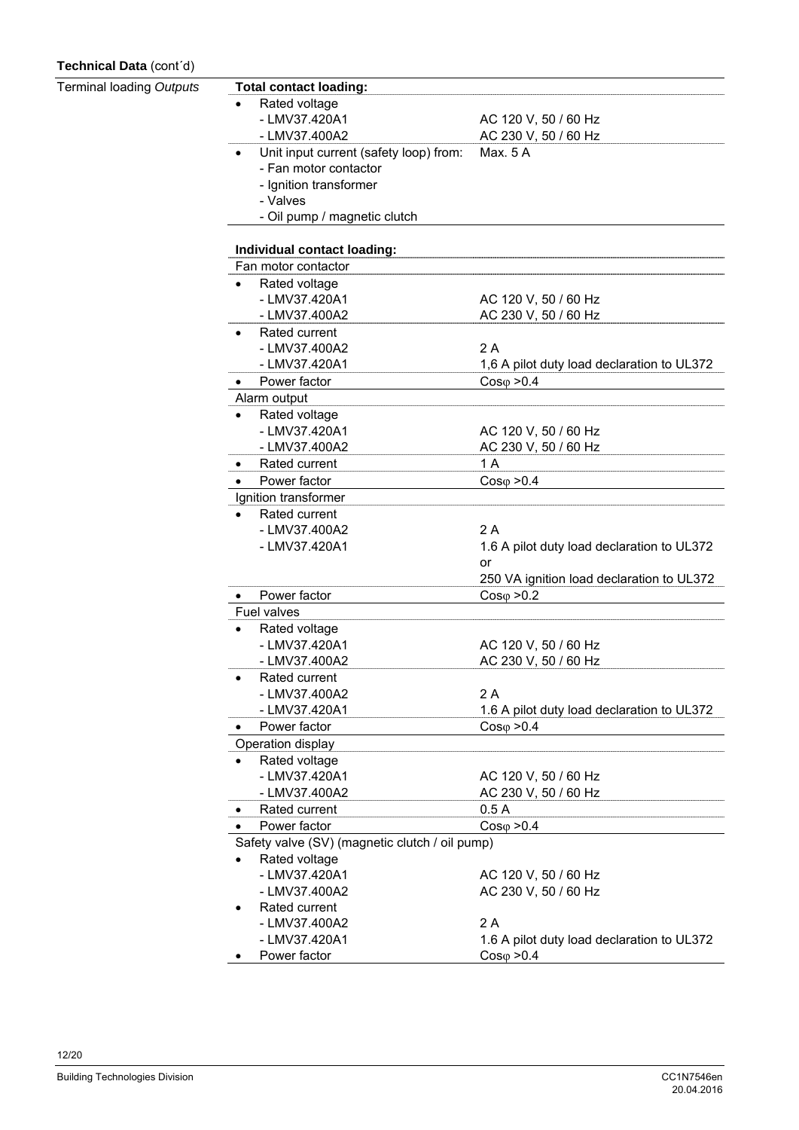#### **Technical Data** (cont´d)

| Terminal loading Outputs | <b>Total contact loading:</b>                  |                                            |  |  |  |
|--------------------------|------------------------------------------------|--------------------------------------------|--|--|--|
|                          | Rated voltage                                  |                                            |  |  |  |
|                          | - LMV37.420A1                                  | AC 120 V, 50 / 60 Hz                       |  |  |  |
|                          | - LMV37.400A2                                  | AC 230 V, 50 / 60 Hz                       |  |  |  |
|                          | Unit input current (safety loop) from:         | Max. 5 A                                   |  |  |  |
|                          | - Fan motor contactor                          |                                            |  |  |  |
|                          | - Ignition transformer                         |                                            |  |  |  |
|                          | - Valves                                       |                                            |  |  |  |
|                          | - Oil pump / magnetic clutch                   |                                            |  |  |  |
|                          | Individual contact loading:                    |                                            |  |  |  |
|                          | Fan motor contactor                            |                                            |  |  |  |
|                          | Rated voltage<br>$\bullet$                     |                                            |  |  |  |
|                          | - LMV37.420A1                                  | AC 120 V, 50 / 60 Hz                       |  |  |  |
|                          | - LMV37.400A2                                  | AC 230 V, 50 / 60 Hz                       |  |  |  |
|                          | Rated current                                  |                                            |  |  |  |
|                          | - LMV37.400A2                                  | 2A                                         |  |  |  |
|                          | - LMV37.420A1                                  | 1,6 A pilot duty load declaration to UL372 |  |  |  |
|                          | Power factor                                   | $Cos\varphi > 0.4$                         |  |  |  |
|                          | Alarm output                                   |                                            |  |  |  |
|                          | Rated voltage<br>$\bullet$                     |                                            |  |  |  |
|                          | - LMV37.420A1                                  | AC 120 V, 50 / 60 Hz                       |  |  |  |
|                          | - LMV37.400A2                                  | AC 230 V, 50 / 60 Hz                       |  |  |  |
|                          | Rated current<br>٠                             | 1 A                                        |  |  |  |
|                          | Power factor<br>$\bullet$                      | $Cos\varphi > 0.4$                         |  |  |  |
|                          | Ignition transformer                           |                                            |  |  |  |
|                          | Rated current<br>$\bullet$                     |                                            |  |  |  |
|                          | - LMV37.400A2                                  | 2A                                         |  |  |  |
|                          | - LMV37.420A1                                  | 1.6 A pilot duty load declaration to UL372 |  |  |  |
|                          |                                                | or                                         |  |  |  |
|                          |                                                | 250 VA ignition load declaration to UL372  |  |  |  |
|                          | Power factor<br>$\bullet$                      | $Cos\varphi > 0.2$                         |  |  |  |
|                          | Fuel valves                                    |                                            |  |  |  |
|                          | Rated voltage                                  |                                            |  |  |  |
|                          | - LMV37.420A1                                  | AC 120 V, 50 / 60 Hz                       |  |  |  |
|                          | - LMV37.400A2                                  | AC 230 V, 50 / 60 Hz                       |  |  |  |
|                          | Rated current                                  |                                            |  |  |  |
|                          | - LMV37.400A2                                  | 2A                                         |  |  |  |
|                          | - LMV37.420A1                                  | 1.6 A pilot duty load declaration to UL372 |  |  |  |
|                          | Power factor                                   | $Cos\varphi > 0.4$                         |  |  |  |
|                          | Operation display                              |                                            |  |  |  |
|                          | Rated voltage<br>$\bullet$                     |                                            |  |  |  |
|                          | - LMV37.420A1                                  | AC 120 V, 50 / 60 Hz                       |  |  |  |
|                          | - LMV37.400A2                                  | AC 230 V, 50 / 60 Hz                       |  |  |  |
|                          | Rated current<br>$\bullet$                     | 0.5A                                       |  |  |  |
|                          | Power factor<br>$\bullet$                      | $Cos\varphi > 0.4$                         |  |  |  |
|                          | Safety valve (SV) (magnetic clutch / oil pump) |                                            |  |  |  |
|                          | Rated voltage<br>٠                             |                                            |  |  |  |
|                          | - LMV37.420A1                                  | AC 120 V, 50 / 60 Hz                       |  |  |  |
|                          | - LMV37.400A2                                  | AC 230 V, 50 / 60 Hz                       |  |  |  |
|                          | Rated current<br>$\bullet$                     |                                            |  |  |  |
|                          | - LMV37.400A2                                  | 2A                                         |  |  |  |
|                          | - LMV37.420A1                                  | 1.6 A pilot duty load declaration to UL372 |  |  |  |
|                          | Power factor                                   | $Cos\varphi > 0.4$                         |  |  |  |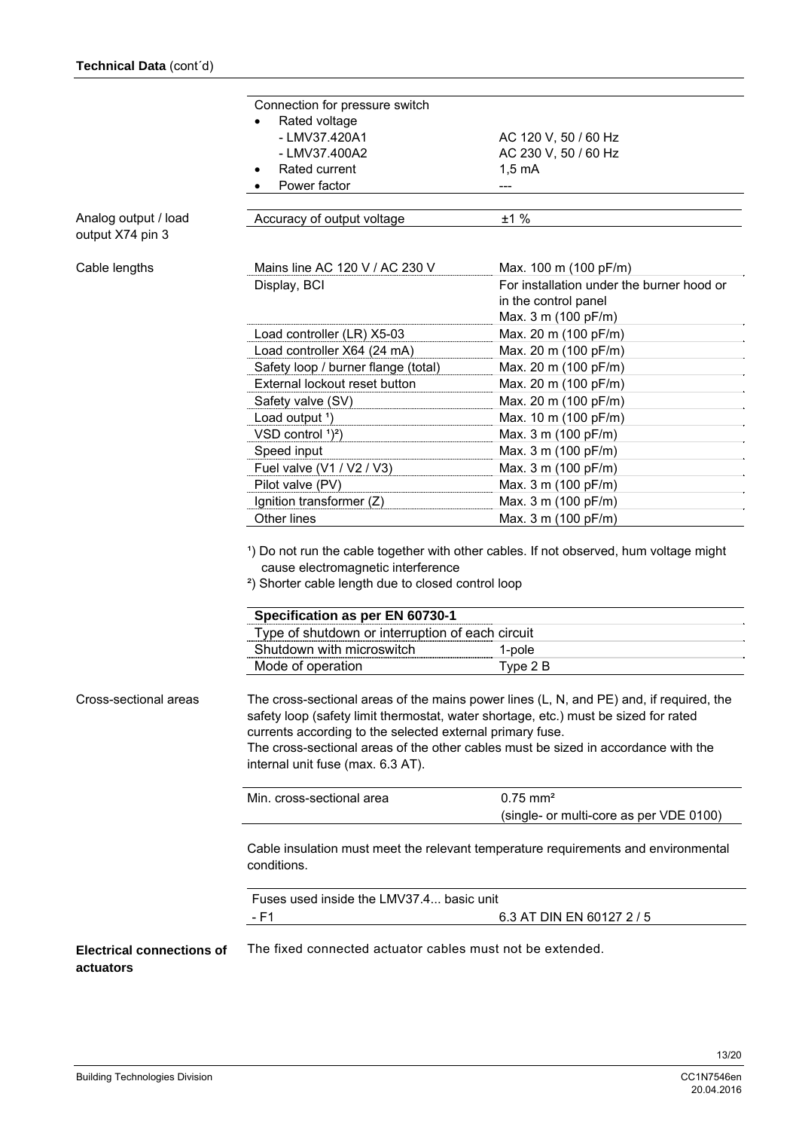|                                               | Connection for pressure switch<br>Rated voltage                                                                                                                                                                                                                                                                                                                        |                                                                                          |  |
|-----------------------------------------------|------------------------------------------------------------------------------------------------------------------------------------------------------------------------------------------------------------------------------------------------------------------------------------------------------------------------------------------------------------------------|------------------------------------------------------------------------------------------|--|
|                                               | - LMV37.420A1                                                                                                                                                                                                                                                                                                                                                          | AC 120 V, 50 / 60 Hz                                                                     |  |
|                                               | - LMV37.400A2                                                                                                                                                                                                                                                                                                                                                          | AC 230 V, 50 / 60 Hz                                                                     |  |
|                                               | Rated current                                                                                                                                                                                                                                                                                                                                                          | $1,5 \text{ mA}$                                                                         |  |
|                                               | Power factor                                                                                                                                                                                                                                                                                                                                                           |                                                                                          |  |
|                                               |                                                                                                                                                                                                                                                                                                                                                                        |                                                                                          |  |
| Analog output / load<br>output X74 pin 3      | Accuracy of output voltage                                                                                                                                                                                                                                                                                                                                             | ±1%                                                                                      |  |
| Cable lengths                                 | Mains line AC 120 V / AC 230 V                                                                                                                                                                                                                                                                                                                                         | Max. 100 m (100 pF/m)                                                                    |  |
|                                               | Display, BCI                                                                                                                                                                                                                                                                                                                                                           | For installation under the burner hood or<br>in the control panel<br>Max. 3 m (100 pF/m) |  |
|                                               | Load controller (LR) X5-03                                                                                                                                                                                                                                                                                                                                             | Max. 20 m (100 pF/m)                                                                     |  |
|                                               | Load controller X64 (24 mA)                                                                                                                                                                                                                                                                                                                                            | Max. 20 m (100 pF/m)                                                                     |  |
|                                               | Safety loop / burner flange (total)                                                                                                                                                                                                                                                                                                                                    | Max. 20 m (100 pF/m)                                                                     |  |
|                                               | External lockout reset button                                                                                                                                                                                                                                                                                                                                          | Max. 20 m (100 pF/m)                                                                     |  |
|                                               | Safety valve (SV)                                                                                                                                                                                                                                                                                                                                                      | Max. 20 m (100 pF/m)                                                                     |  |
|                                               | Load output <sup>1</sup> )                                                                                                                                                                                                                                                                                                                                             | Max. 10 m (100 pF/m)                                                                     |  |
|                                               | VSD control $1^2$ )                                                                                                                                                                                                                                                                                                                                                    | Max. 3 m (100 pF/m)                                                                      |  |
|                                               | Speed input                                                                                                                                                                                                                                                                                                                                                            | Max. 3 m (100 pF/m)                                                                      |  |
|                                               | Fuel valve (V1 / V2 / V3)                                                                                                                                                                                                                                                                                                                                              | Max. 3 m (100 pF/m)                                                                      |  |
|                                               | Pilot valve (PV)                                                                                                                                                                                                                                                                                                                                                       | Max. 3 m (100 pF/m)                                                                      |  |
|                                               | Ignition transformer (Z)<br>Other lines                                                                                                                                                                                                                                                                                                                                | Max. 3 m (100 pF/m)<br>Max. 3 m (100 pF/m)                                               |  |
|                                               | cause electromagnetic interference<br><sup>2</sup> ) Shorter cable length due to closed control loop                                                                                                                                                                                                                                                                   |                                                                                          |  |
|                                               | Specification as per EN 60730-1                                                                                                                                                                                                                                                                                                                                        |                                                                                          |  |
|                                               | Type of shutdown or interruption of each circuit                                                                                                                                                                                                                                                                                                                       |                                                                                          |  |
|                                               | Shutdown with microswitch                                                                                                                                                                                                                                                                                                                                              | 1-pole                                                                                   |  |
|                                               | Mode of operation                                                                                                                                                                                                                                                                                                                                                      | Type 2 B                                                                                 |  |
| Cross-sectional areas                         | The cross-sectional areas of the mains power lines (L, N, and PE) and, if required, the<br>safety loop (safety limit thermostat, water shortage, etc.) must be sized for rated<br>currents according to the selected external primary fuse.<br>The cross-sectional areas of the other cables must be sized in accordance with the<br>internal unit fuse (max. 6.3 AT). |                                                                                          |  |
|                                               | Min. cross-sectional area                                                                                                                                                                                                                                                                                                                                              | $0.75$ mm <sup>2</sup>                                                                   |  |
|                                               |                                                                                                                                                                                                                                                                                                                                                                        | (single- or multi-core as per VDE 0100)                                                  |  |
|                                               | Cable insulation must meet the relevant temperature requirements and environmental<br>conditions.                                                                                                                                                                                                                                                                      |                                                                                          |  |
|                                               | Fuses used inside the LMV37.4 basic unit<br>- F1                                                                                                                                                                                                                                                                                                                       | 6.3 AT DIN EN 60127 2 / 5                                                                |  |
| <b>Electrical connections of</b><br>actuators | The fixed connected actuator cables must not be extended.                                                                                                                                                                                                                                                                                                              |                                                                                          |  |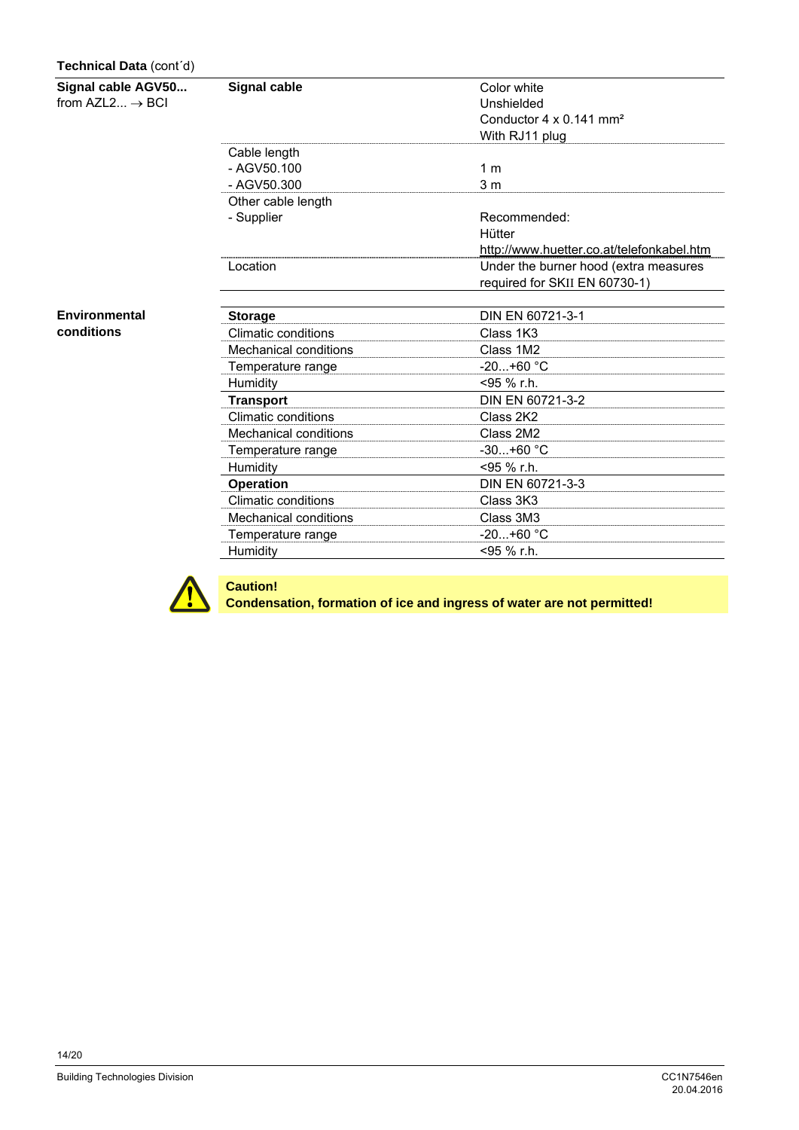#### **Technical Data** (cont´d)

**Signal cable AGV50...** 

from  $AZL2... \rightarrow BCI$ 

**Environmental conditions** 

| Signal cable          | Color white                               |
|-----------------------|-------------------------------------------|
|                       | Unshielded                                |
|                       | Conductor 4 x 0.141 mm <sup>2</sup>       |
|                       | With RJ11 plug                            |
| Cable length          |                                           |
| $-$ AGV50.100         | 1 m                                       |
| $-$ AGV50.300         | 3 <sub>m</sub>                            |
| Other cable length    |                                           |
| - Supplier            | Recommended:                              |
|                       | Hütter                                    |
|                       | http://www.huetter.co.at/telefonkabel.htm |
| Location              | Under the burner hood (extra measures     |
|                       | required for SKII EN 60730-1)             |
|                       |                                           |
| <b>Storage</b>        | DIN EN 60721-3-1                          |
| Climatic conditions   | Class 1K3                                 |
| Mechanical conditions | Class 1M2                                 |
| Temperature range     | $-20+60 °C$                               |
| Humidity              | <95 % r.h.                                |
| <b>Transport</b>      | DIN EN 60721-3-2                          |
| Climatic conditions   | Class 2K2                                 |
| Mechanical conditions | Class 2M2                                 |
| Temperature range     | $-30+60$ °C                               |
| Humidity              | <95 % r.h.                                |
| <b>Operation</b>      | DIN EN 60721-3-3                          |
| Climatic conditions   | Class 3K3                                 |
| Mechanical conditions | Class 3M3                                 |
| Temperature range     | $-20+60 °C$                               |
| Humidity              | <95 % r.h.                                |



**Caution!** 

**Condensation, formation of ice and ingress of water are not permitted!**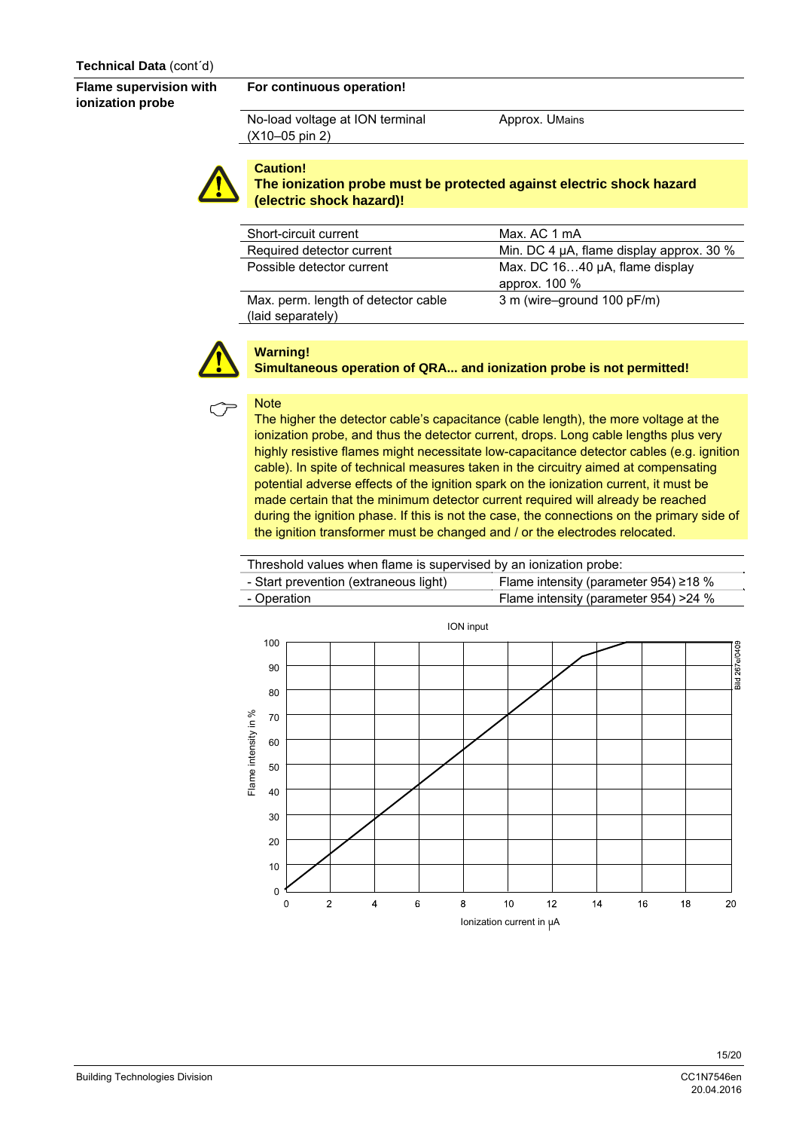**Flame supervision with ionization probe** 

#### **For continuous operation!**

No-load voltage at ION terminal (X10–05 pin 2)

Approx. UMains



#### **Caution! The ionization probe must be protected against electric shock hazard (electric shock hazard)!**

| Short-circuit current                                    | Max. AC 1 mA                                    |
|----------------------------------------------------------|-------------------------------------------------|
| Required detector current                                | Min. DC 4 µA, flame display approx. 30 %        |
| Possible detector current                                | Max. DC 1640 µA, flame display<br>approx. 100 % |
| Max. perm. length of detector cable<br>(laid separately) | 3 m (wire-ground 100 pF/m)                      |



#### **Warning!**

**Simultaneous operation of QRA... and ionization probe is not permitted!** 



**The higher the detector cable's capacitance (cable length), the more voltage at the** ionization probe, and thus the detector current, drops. Long cable lengths plus very highly resistive flames might necessitate low-capacitance detector cables (e.g. ignition cable). In spite of technical measures taken in the circuitry aimed at compensating potential adverse effects of the ignition spark on the ionization current, it must be made certain that the minimum detector current required will already be reached during the ignition phase. If this is not the case, the connections on the primary side of the ignition transformer must be changed and / or the electrodes relocated.

| - Start prevention (extraneous light) | Flame intensity (parameter 954) $\geq$ 18 % |
|---------------------------------------|---------------------------------------------|
| - Operation                           | Flame intensity (parameter 954) > 24 %      |

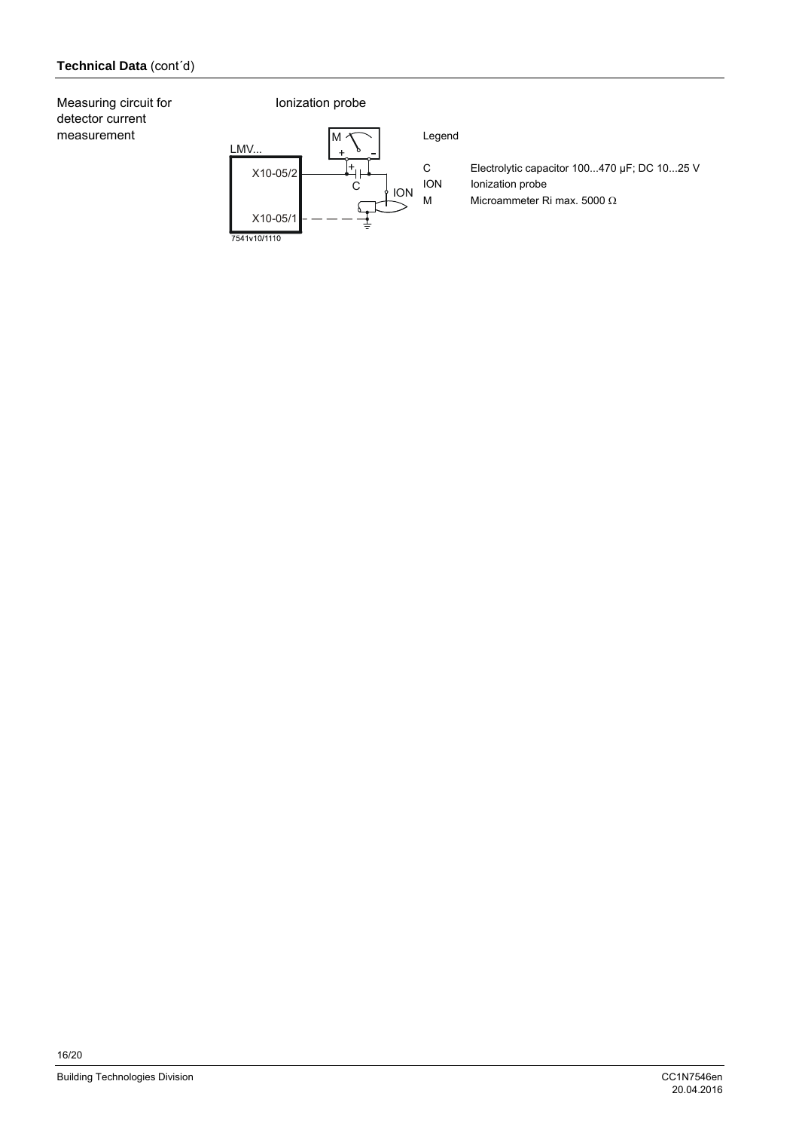Measuring circuit for detector current measurement

#### Ionization probe

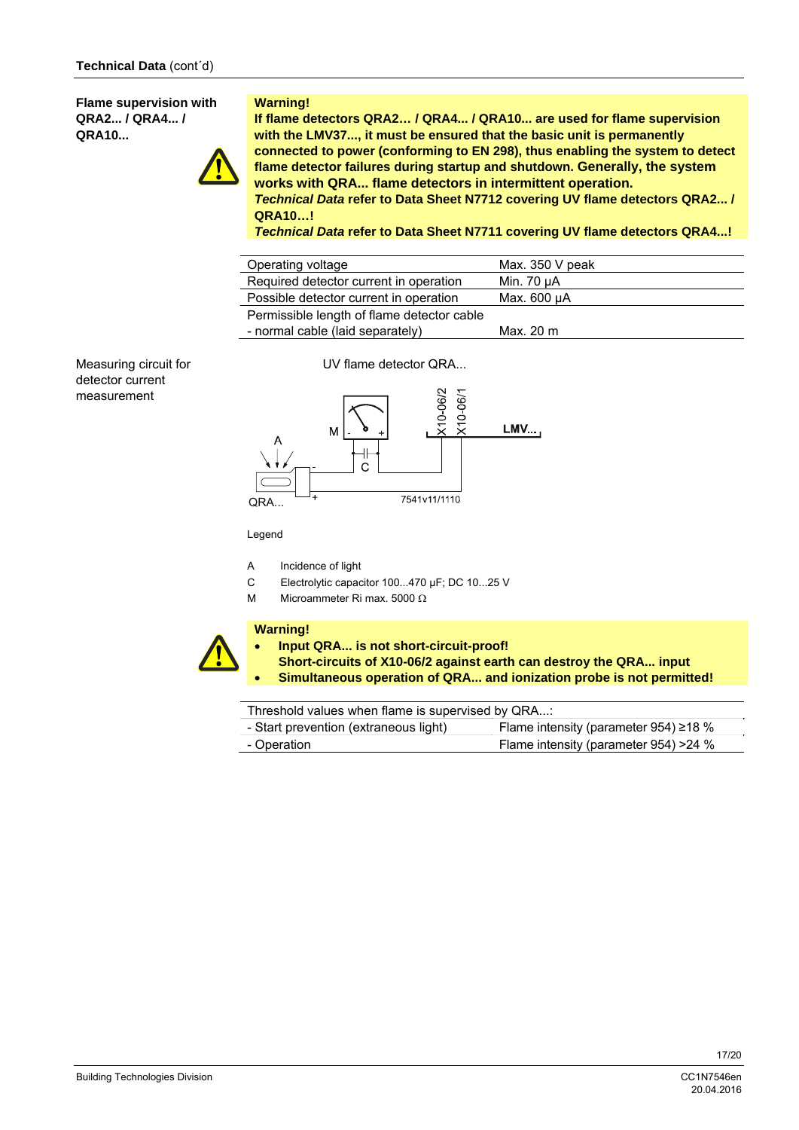**Flame supervision with QRA2... / QRA4... / QRA10...** 



#### **Warning!**

**If flame detectors QRA2… / QRA4... / QRA10... are used for flame supervision with the LMV37..., it must be ensured that the basic unit is permanently connected to power (conforming to EN 298), thus enabling the system to detect flame detector failures during startup and shutdown. Generally, the system works with QRA... flame detectors in intermittent operation.**

*Technical Data* **refer to Data Sheet N7712 covering UV flame detectors QRA2... / QRA10…!** 

*Technical Data* **refer to Data Sheet N7711 covering UV flame detectors QRA4...!** 

| Operating voltage                          | Max. $350V$ peak |
|--------------------------------------------|------------------|
| Required detector current in operation     | Min. 70 µA       |
| Possible detector current in operation     | Max. 600 uA      |
| Permissible length of flame detector cable |                  |
| - normal cable (laid separately)           | Max. 20 m        |

Measuring circuit for detector current measurement

UV flame detector QRA...



Legend

- A Incidence of light
- C Electrolytic capacitor 100...470 µF; DC 10...25 V
- M Microammeter Ri max. 5000  $\Omega$

#### **Warning!**

- **Input QRA... is not short-circuit-proof!**
- **Short-circuits of X10-06/2 against earth can destroy the QRA... input**
- **Simultaneous operation of QRA... and ionization probe is not permitted!**

Threshold values when flame is supervised by QRA...:

| - Start prevention (extraneous light) | Flame intensity (parameter 954) $\geq$ 18 % |
|---------------------------------------|---------------------------------------------|
| - Operation                           | Flame intensity (parameter 954) > 24 %      |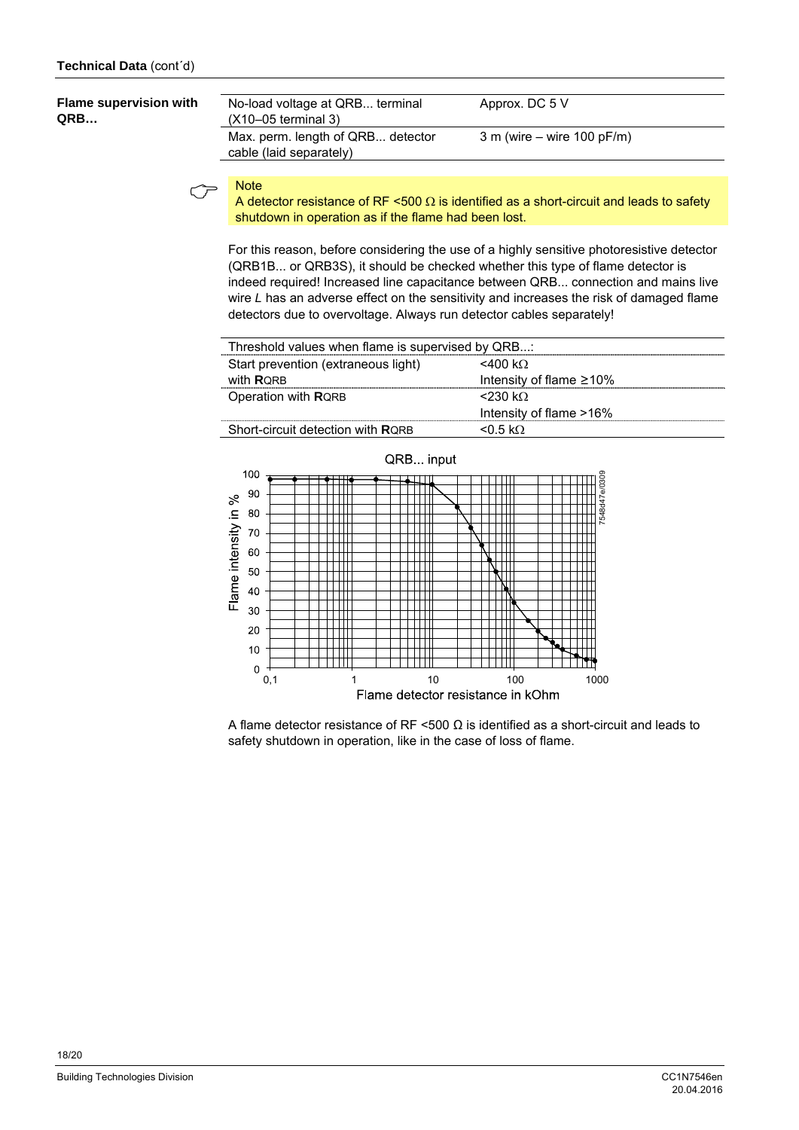| <b>Flame supervision with</b><br>QRB | No-load voltage at QRB terminal<br>$(X10-05$ terminal 3)     | Approx. DC 5 V               |
|--------------------------------------|--------------------------------------------------------------|------------------------------|
|                                      | Max. perm. length of QRB detector<br>cable (laid separately) | $3 m$ (wire – wire 100 pF/m) |

A detector resistance of RF <500  $\Omega$  is identified as a short-circuit and leads to safety<br>A detector resistance of RF <500  $\Omega$  is identified as a short-circuit and leads to safety shutdown in operation as if the flame had been lost.

For this reason, before considering the use of a highly sensitive photoresistive detector (QRB1B... or QRB3S), it should be checked whether this type of flame detector is indeed required! Increased line capacitance between QRB... connection and mains live wire *L* has an adverse effect on the sensitivity and increases the risk of damaged flame detectors due to overvoltage. Always run detector cables separately!

| Threshold values when flame is supervised by QRB: |                                |
|---------------------------------------------------|--------------------------------|
| Start prevention (extraneous light)               | $<$ 400 k $\Omega$             |
| with <b>RORB</b>                                  | Intensity of flame $\geq 10\%$ |
| Operation with RQRB                               | $<$ 230 kO                     |
|                                                   | Intensity of flame >16%        |
| Short-circuit detection with RORB                 | $< 0.5$ kO.                    |



A flame detector resistance of RF <500  $\Omega$  is identified as a short-circuit and leads to safety shutdown in operation, like in the case of loss of flame.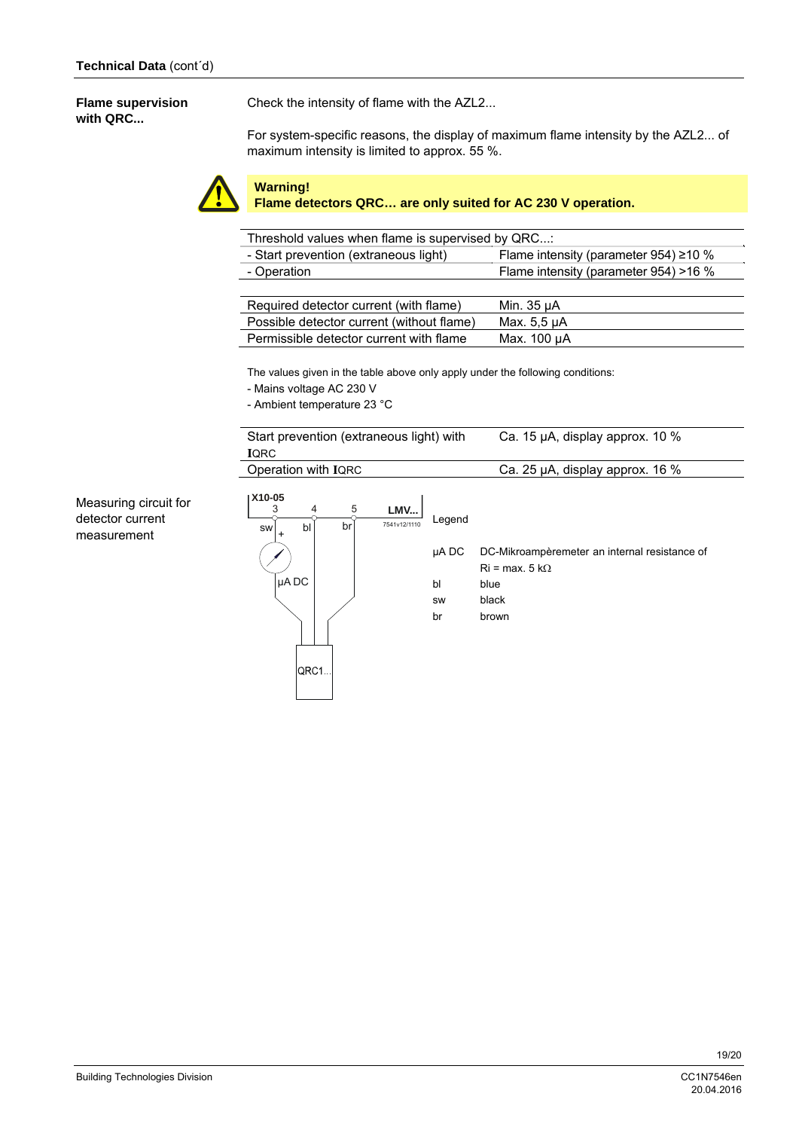#### **Flame supervision with QRC...**

Check the intensity of flame with the AZL2...

For system-specific reasons, the display of maximum flame intensity by the AZL2... of maximum intensity is limited to approx. 55 %.



### **Warning!**

**Flame detectors QRC… are only suited for AC 230 V operation.** 

| Threshold values when flame is supervised by QRC: |                                             |
|---------------------------------------------------|---------------------------------------------|
| - Start prevention (extraneous light)             | Flame intensity (parameter 954) $\geq$ 10 % |
| - Operation                                       | Flame intensity (parameter 954) >16 %       |
|                                                   |                                             |
| Required detector current (with flame)            | Min. 35 µA                                  |
| Possible detector current (without flame)         | Max. 5.5 µA                                 |
| Permissible detector current with flame           | Max. 100 µA                                 |

The values given in the table above only apply under the following conditions:

- Mains voltage AC 230 V
- Ambient temperature 23 °C

| Operation with IQRC                                                                 |                       | Ca. 25 µA, display approx. 16 %                                                          |
|-------------------------------------------------------------------------------------|-----------------------|------------------------------------------------------------------------------------------|
| X10-05<br>5<br>4<br>3<br>LMV<br>7541v12/1110<br>br<br>bl<br>SW<br>$\ddot{}$<br>µADC | Legend<br>µA DC<br>bl | DC-Mikroampèremeter an internal resistance of<br>$\text{Ri}$ = max, 5 k $\Omega$<br>blue |
|                                                                                     | <b>SW</b><br>br       | black<br>brown                                                                           |

Measuring circuit for detector current measurement